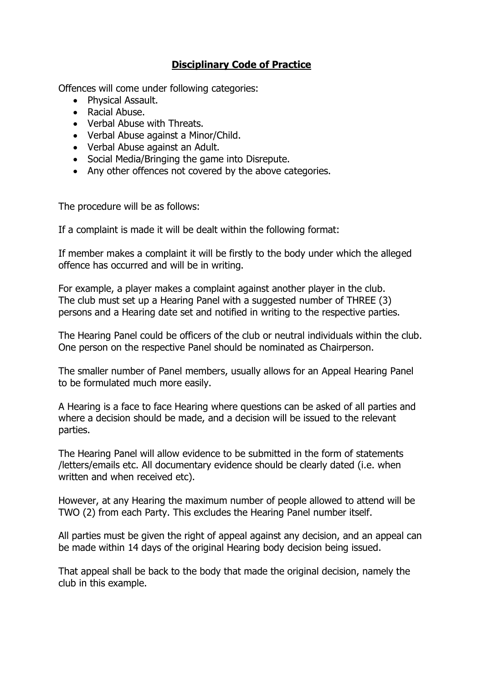## **Disciplinary Code of Practice**

Offences will come under following categories:

- Physical Assault.
- Racial Abuse.
- Verbal Abuse with Threats.
- Verbal Abuse against a Minor/Child.
- Verbal Abuse against an Adult.
- Social Media/Bringing the game into Disrepute.
- Any other offences not covered by the above categories.

The procedure will be as follows:

If a complaint is made it will be dealt within the following format:

If member makes a complaint it will be firstly to the body under which the alleged offence has occurred and will be in writing.

For example, a player makes a complaint against another player in the club. The club must set up a Hearing Panel with a suggested number of THREE (3) persons and a Hearing date set and notified in writing to the respective parties.

The Hearing Panel could be officers of the club or neutral individuals within the club. One person on the respective Panel should be nominated as Chairperson.

The smaller number of Panel members, usually allows for an Appeal Hearing Panel to be formulated much more easily.

A Hearing is a face to face Hearing where questions can be asked of all parties and where a decision should be made, and a decision will be issued to the relevant parties.

The Hearing Panel will allow evidence to be submitted in the form of statements /letters/emails etc. All documentary evidence should be clearly dated (i.e. when written and when received etc).

However, at any Hearing the maximum number of people allowed to attend will be TWO (2) from each Party. This excludes the Hearing Panel number itself.

All parties must be given the right of appeal against any decision, and an appeal can be made within 14 days of the original Hearing body decision being issued.

That appeal shall be back to the body that made the original decision, namely the club in this example.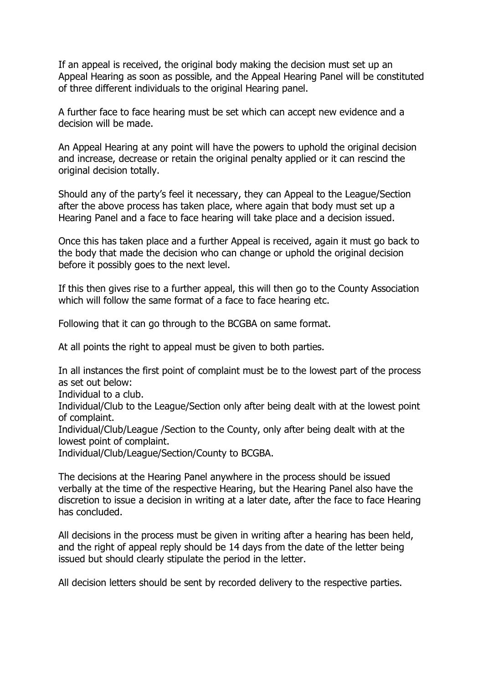If an appeal is received, the original body making the decision must set up an Appeal Hearing as soon as possible, and the Appeal Hearing Panel will be constituted of three different individuals to the original Hearing panel.

A further face to face hearing must be set which can accept new evidence and a decision will be made.

An Appeal Hearing at any point will have the powers to uphold the original decision and increase, decrease or retain the original penalty applied or it can rescind the original decision totally.

Should any of the party's feel it necessary, they can Appeal to the League/Section after the above process has taken place, where again that body must set up a Hearing Panel and a face to face hearing will take place and a decision issued.

Once this has taken place and a further Appeal is received, again it must go back to the body that made the decision who can change or uphold the original decision before it possibly goes to the next level.

If this then gives rise to a further appeal, this will then go to the County Association which will follow the same format of a face to face hearing etc.

Following that it can go through to the BCGBA on same format.

At all points the right to appeal must be given to both parties.

In all instances the first point of complaint must be to the lowest part of the process as set out below:

Individual to a club.

Individual/Club to the League/Section only after being dealt with at the lowest point of complaint.

Individual/Club/League /Section to the County, only after being dealt with at the lowest point of complaint.

Individual/Club/League/Section/County to BCGBA.

The decisions at the Hearing Panel anywhere in the process should be issued verbally at the time of the respective Hearing, but the Hearing Panel also have the discretion to issue a decision in writing at a later date, after the face to face Hearing has concluded.

All decisions in the process must be given in writing after a hearing has been held, and the right of appeal reply should be 14 days from the date of the letter being issued but should clearly stipulate the period in the letter.

All decision letters should be sent by recorded delivery to the respective parties.